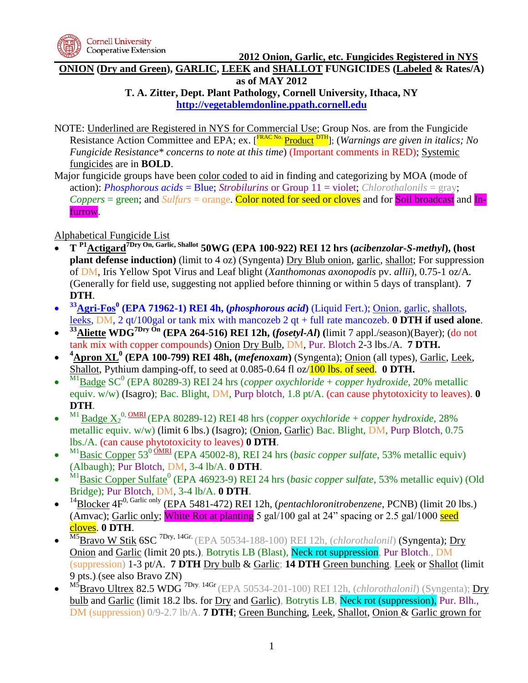

**ONION (Dry and Green), GARLIC, LEEK and SHALLOT FUNGICIDES (Labeled & Rates/A) as of MAY 2012**

**T. A. Zitter, Dept. Plant Pathology, Cornell University, Ithaca, NY [http://vegetablemdonline.ppath.cornell.edu](http://vegetablemdonline.ppath.cornell.edu/)**

- NOTE: Underlined are Registered in NYS for Commercial Use; Group Nos. are from the Fungicide Resistance Action Committee and EPA; ex. [<sup>FRAC No.</sup> Product <sup>DTH</sup>]; (*Warnings are given in italics; No Fungicide Resistance\* concerns to note at this time*) (Important comments in RED); Systemic fungicides are in **BOLD**.
- Major fungicide groups have been color coded to aid in finding and categorizing by MOA (mode of action): *Phosphorous acids* = Blue; *Strobilurins* or Group 11 = violet; *Chlorothalonils* = gray; *Coppers* = green; and *Sulfurs* = orange. Color noted for seed or cloves and for Soil broadcast and Infurrow.

Alphabetical Fungicide List

- **T P1Actigard7Dry On, Garlic, Shallot 50WG (EPA 100-922) REI 12 hrs (***acibenzolar-S-methyl***), (host plant defense induction)** (limit to 4 oz) (Syngenta) Dry Blub onion, garlic, shallot; For suppression of DM, Iris Yellow Spot Virus and Leaf blight (*Xanthomonas axonopodis* pv. *allii*), 0.75-1 oz/A*.* (Generally for field use, suggesting not applied before thinning or within 5 days of transplant). **7 DTH**.
- $\bullet$ **<sup>33</sup>Agri-Fos<sup>0</sup> (EPA 71962-1) REI 4h, (***phosphorous acid***)** (Liquid Fert.); Onion, garlic, shallots, leeks, DM, 2 qt/100gal or tank mix with mancozeb 2 qt + full rate mancozeb. **0 DTH if used alone**.
- $\bullet$ **<sup>33</sup>Aliette WDG7Dry On (EPA 264-516) REI 12h, (***fosetyl-Al***) (**limit 7 appl./season)(Bayer); (do not tank mix with copper compounds) Onion Dry Bulb, DM, Pur. Blotch 2-3 lbs./A. **7 DTH.**
- **<sup>4</sup>Apron XL<sup>0</sup> (EPA 100-799) REI 48h, (***mefenoxam***)** (Syngenta); Onion (all types), Garlic, Leek, Shallot, Pythium damping-off, to seed at 0.085-0.64 fl oz/100 lbs. of seed. **0 DTH.**
- $\bullet$ <sup>M1</sup>Badge SC<sup>0</sup> (EPA 80289-3) REI 24 hrs (*copper oxychloride* + *copper hydroxide*, 20% metallic equiv. w/w) (Isagro); Bac. Blight, DM, Purp blotch, 1.8 pt/A. (can cause phytotoxicity to leaves). **0 DTH**.
- $\bullet$ <sup>M1</sup> Badge  $X_2^{0, \text{OMRI}}$  (EPA 80289-12) REI 48 hrs (*copper oxychloride* + *copper hydroxide*, 28% metallic equiv. w/w) (limit 6 lbs.) (Isagro); (Onion, Garlic) Bac. Blight, DM, Purp Blotch, 0.75 lbs./A. (can cause phytotoxicity to leaves) **0 DTH**.
- $\bullet$ <sup>M1</sup>Basic Copper 53<sup>0</sup> OMRI (EPA 45002-8), REI 24 hrs (*basic copper sulfate*, 53% metallic equiv) (Albaugh); Pur Blotch, DM, 3-4 lb/A. **0 DTH**.
- $\bullet$ <sup>M1</sup>Basic Copper Sulfate<sup>0</sup> (EPA 46923-9) REI 24 hrs (*basic copper sulfate*, 53% metallic equiv) (Old Bridge); Pur Blotch, DM, 3-4 lb/A. **0 DTH**.
- $\bullet$ <sup>14</sup>Blocker 4F<sup>0, Garlic only (EPA 5481-472) REI 12h, (*pentachloronitrobenzene*, PCNB) (limit 20 lbs.)</sup> (Amvac); Garlic only; White Rot at planting 5 gal/100 gal at 24" spacing or 2.5 gal/1000 seed cloves. **0 DTH**.
- $\bullet$ M5Bravo W Stik 6SC 7Dry, 14Gr. (EPA 50534-188-100) REI 12h, (*chlorothalonil*) (Syngenta); Dry Onion and Garlic (limit 20 pts.), Botrytis LB (Blast), Neck rot suppression, Pur Blotch., DM (suppression) 1-3 pt/A. **7 DTH** Dry bulb & Garlic; **14 DTH** Green bunching, Leek or Shallot (limit 9 pts.).(see also Bravo ZN)
- $\bullet$ M5Bravo Ultrex 82.5 WDG 7Dry, 14Gr (EPA 50534-201-100) REI 12h, (*chlorothalonil*) (Syngenta); Dry bulb and Garlic (limit 18.2 lbs. for Dry and Garlic), Botrytis LB, Neck rot (suppression), Pur. Blh., DM (suppression) 0/9-2.7 lb/A. **7 DTH**; Green Bunching, Leek, Shallot, Onion & Garlic grown for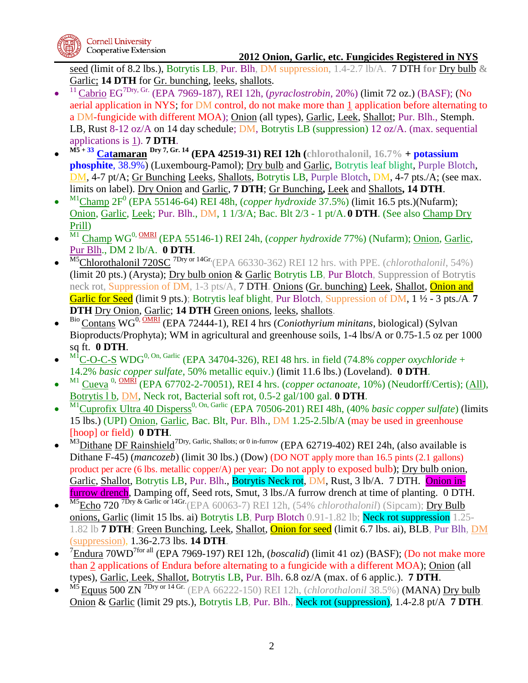

seed (limit of 8.2 lbs.), Botrytis LB, Pur. Blh, DM suppression, 1.4-2.7 lb/A. 7 DTH **for** Dry bulb **&**  Garlic; **14 DTH** for Gr. bunching, leeks, shallots.

- $\bullet$ <sup>11</sup>Cabrio EG7Dry, Gr. (EPA 7969-187), REI 12h, (*pyraclostrobin*, 20%) (limit 72 oz.) (BASF); (No aerial application in NYS; for DM control, do not make more than 1 application before alternating to a DM-fungicide with different MOA); Onion (all types), Garlic, Leek, Shallot; Pur. Blh., Stemph. LB, Rust 8-12 oz/A on 14 day schedule; DM, Botrytis LB (suppression) 12 oz/A. (max. sequential applications is 1). **7 DTH**.
- $\bullet$ **M5 + 33 Catamaran Dry 7, Gr. 14 (EPA 42519-31) REI 12h (chlorothalonil, 16.7% + potassium phosphite**, 38.9%) (Luxembourg-Pamol); Dry bulb and Garlic, Botrytis leaf blight, Purple Blotch, DM, 4-7 pt/A; Gr Bunching Leeks, Shallots, Botrytis LB, Purple Blotch, DM, 4-7 pts./A; (see max. limits on label). Dry Onion and Garlic, **7 DTH**; Gr Bunching**,** Leek and Shallots**, 14 DTH**.
- $\bullet$ <sup>M1</sup>Champ 2F<sup>0</sup> (EPA 55146-64) REI 48h, (*copper hydroxide* 37.5%) (limit 16.5 pts.)(Nufarm); Onion, Garlic, Leek; Pur. Blh., DM, 1 1/3/A; Bac. Blt 2/3 - 1 pt/A. **0 DTH**. (See also Champ Dry Prill)
- $\bullet$ <sup>M1</sup> Champ WG<sup>0, <u>OMRI</u> (EPA 55146-1) REI 24h, (*copper hydroxide* 77%) (Nufarm); <u>Onion, Garlic</u>,</sup> Pur Blh., DM 2 lb/A. **0 DTH**.
- $\bullet$ M5Chlorothalonil 720SC <sup>7Dry or 14Gr.</sup>(EPA 66330-362) REI 12 hrs. with PPE. (*chlorothalonil*, 54%) (limit 20 pts.) (Arysta); Dry bulb onion & Garlic Botrytis LB, Pur Blotch, Suppression of Botrytis neck rot, Suppression of DM, 1-3 pts/A, 7 DTH. Onions (Gr. bunching) Leek, Shallot, Onion and Garlic for Seed (limit 9 pts.); Botrytis leaf blight, Pur Blotch, Suppression of DM, 1 ½ - 3 pts./A. **7 DTH** Dry Onion, Garlic; **14 DTH** Green onions, leeks, shallots.
- $\bullet$ Bio Contans WG0, OMRI (EPA 72444-1), REI 4 hrs (*Coniothyrium minitans*, biological) (Sylvan Bioproducts/Prophyta); WM in agricultural and greenhouse soils, 1-4 lbs/A or 0.75-1.5 oz per 1000 sq ft. **0 DTH**.
- $\bullet$  $M_1^1$ C-O-C-S WDG<sup>0, On, Garlic</sup> (EPA 34704-326), REI 48 hrs. in field (74.8% *copper oxychloride* + 14.2% *basic copper sulfate*, 50% metallic equiv.) (limit 11.6 lbs.) (Loveland). **0 DTH**.
- $\bullet$ <sup>M1</sup> Cueva<sup>0, <u>OMRI</u> (EPA 67702-2-70051), REI 4 hrs. (*copper octanoate*, 10%) (Neudorff/Certis); (All),</sup> Botrytis l b, DM, Neck rot, Bacterial soft rot, 0.5-2 gal/100 gal. **0 DTH**.
- $\bullet$ <sup>M1</sup>Cuprofix Ultra 40 Disperss<sup>0, On, Garlic (EPA 70506-201) REI 48h, (40% *basic copper sulfate*) (limits</sup> 15 lbs.) (UPI) Onion, Garlic, Bac. Blt, Pur. Blh., DM 1.25-2.5lb/A (may be used in greenhouse [hoop] or field) **0 DTH**.
- $\bullet$ M3Dithane DF Rainshield<sup>7Dry, Garlic, Shallots; or 0 in-furrow</sup> (EPA 62719-402) REI 24h, (also available is Dithane F-45) (*mancozeb*) (limit 30 lbs.) (Dow) (DO NOT apply more than 16.5 pints (2.1 gallons) product per acre (6 lbs. metallic copper/A) per year; Do not apply to exposed bulb); Dry bulb onion, Garlic, Shallot, Botrytis LB, Pur. Blh., Botrytis Neck rot, DM, Rust, 3 lb/A. 7 DTH. Onion infurrow drench, Damping off, Seed rots, Smut, 3 lbs./A furrow drench at time of planting. 0 DTH.
- $\bullet$ M5Echo 720<sup>7Dry & Garlic or 14Gr.</sup>(EPA 60063-7) REI 12h, (54% *chlorothalonil*) (Sipcam); Dry Bulb onions, Garlic (limit 15 lbs. ai) Botrytis LB, Purp Blotch 0.91-1.82 lb; Neck rot suppression 1.25- 1.82 lb **7 DTH**; Green Bunching, Leek, Shallot, Onion for seed (limit 6.7 lbs. ai), BLB, Pur Blh, DM (suppression), 1.36-2.73 lbs. **14 DTH**.
- $\bullet$ <sup>7</sup>Endura 70WD<sup>7for all</sup> (EPA 7969-197) REI 12h, (*boscalid*) (limit 41 oz) (BASF); (Do not make more than 2 applications of Endura before alternating to a fungicide with a different MOA); Onion (all types), Garlic, Leek, Shallot, Botrytis LB, Pur. Blh. 6.8 oz/A (max. of 6 applic.). **7 DTH**.
- $\bullet$ M5 Equus 500 ZN 7Dry or 14 Gr. (EPA 66222-150) REI 12h, (*chlorothalonil* 38.5%) (MANA) Dry bulb Onion & Garlic (limit 29 pts.), Botrytis LB, Pur. Blh., Neck rot (suppression), 1.4-2.8 pt/A **7 DTH**.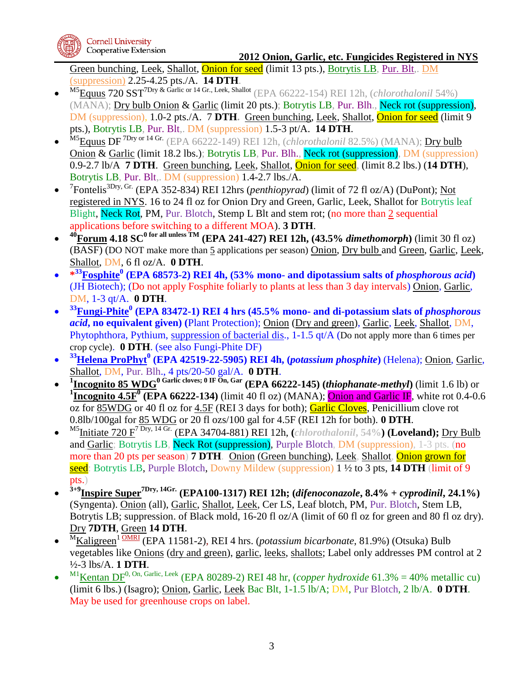

Green bunching, Leek, Shallot, Onion for seed (limit 13 pts.), Botrytis LB, Pur. Blt,. DM (suppression) 2.25-4.25 pts./A. **14 DTH**.

- $\bullet$ M5Equus 720 SST7Dry & Garlic or 14 Gr., Leek, Shallot (EPA 66222-154) REI 12h, (*chlorothalonil* 54%) (MANA); Dry bulb Onion & Garlic (limit 20 pts.); Botrytis LB, Pur. Blh., Neck rot (suppression), DM (suppression), 1.0-2 pts./A. 7 DTH. Green bunching, Leek, Shallot, **Onion for seed** (limit 9 pts.), Botrytis LB, Pur. Blt,. DM (suppression) 1.5-3 pt/A. **14 DTH**.
- $\bullet$ M5Equus DF 7Dry or 14 Gr. (EPA 66222-149) REI 12h, (*chlorothalonil* 82.5%) (MANA); Dry bulb Onion & Garlic (limit 18.2 lbs.); Botrytis LB, Pur. Blh., Neck rot (suppression), DM (suppression) 0.9-2.7 lb/A **7 DTH**. Green bunching, Leek, Shallot, Onion for seed, (limit 8.2 lbs.) (**14 DTH**), Botrytis LB, Pur. Blt,. DM (suppression) 1.4-2.7 lbs./A.
- $\bullet$ <sup>7</sup>Fontelis<sup>3Dry, Gr.</sup> (EPA 352-834) REI 12hrs (*penthiopyrad*) (limit of 72 fl oz/A) (DuPont); <u>Not</u> registered in NYS. 16 to 24 fl oz for Onion Dry and Green, Garlic, Leek, Shallot for Botrytis leaf Blight, Neck Rot, PM, Pur. Blotch, Stemp L Blt and stem rot; (no more than 2 sequential applications before switching to a different MOA). **3 DTH**.
- $\bullet$  $40$ **Forum** 4.18 SC<sup>0</sup> for all unless TM (EPA 241-427) REI 12h, (43.5% *dimethomorph*) (limit 30 fl oz) (BASF) (DO NOT make more than 5 applications per season) Onion, Dry bulb and Green, Garlic, Leek, Shallot, DM, 6 fl oz/A. **0 DTH**.
- **\* <sup>33</sup>Fosphite<sup>0</sup> (EPA 68573-2) REI 4h, (53% mono- and dipotassium salts of** *phosphorous acid***)**  (JH Biotech); (Do not apply Fosphite foliarly to plants at less than 3 day intervals) Onion, Garlic, DM, 1-3 qt/A. **0 DTH**.
- $\bullet$ **<sup>33</sup>Fungi-Phite<sup>0</sup> (EPA 83472-1) REI 4 hrs (45.5% mono- and di-potassium slats of** *phosphorous acid***, no equivalent given) (**Plant Protection); Onion (Dry and green), Garlic, Leek, Shallot, DM, Phytophthora, Pythium, suppression of bacterial dis., 1-1.5 qt/A (Do not apply more than 6 times per crop cycle). **0 DTH**. (see also Fungi-Phite DF)
- $\bullet$ **<sup>33</sup>Helena ProPhyt<sup>0</sup> (EPA 42519-22-5905) REI 4h, (***potassium phosphite***)** (Helena); Onion, Garlic, Shallot, DM, Pur. Blh., 4 pts/20-50 gal/A. **0 DTH**.
- $\bullet$ **1 Incognito 85 WDG<sup>0</sup> Garlic cloves; 0 IF On, Gar (EPA 66222-145) (***thiophanate-methyl***)** (limit 1.6 lb) or <sup>1</sup>**Incognito 4.5F<sup><sup>0</sup>** (**EPA 66222-134**) (limit 40 fl oz) (MANA); **Onion and Garlic IF**, white rot 0.4-0.6</sup> oz for 85WDG or 40 fl oz for 4.5F (REI 3 days for both); Garlic Cloves, Penicillium clove rot 0.8lb/100gal for 85 WDG or 20 fl ozs/100 gal for 4.5F (REI 12h for both). **0 DTH**.
- $\bullet$ M5Initiate 720 F7 Dry, 14 Gr. (EPA 34704-881) REI 12h, **(***chlorothalonil***, 54%) (Loveland);** Dry Bulb and Garlic; Botrytis LB, Neck Rot (suppression), Purple Blotch, DM (suppression), 1-3 pts. (no more than 20 pts per season) **7 DTH**. Onion (Green bunching), Leek, Shallot, Onion grown for seed: Botrytis LB, Purple Blotch, Downy Mildew (suppression) 1 ½ to 3 pts, **14 DTH** (limit of 9 pts.)
- $\bullet$ **3+9Inspire Super7Dry, 14Gr. (EPA100-1317) REI 12h; (***difenoconazole***, 8.4% +** *cyprodinil***, 24.1%)**  (Syngenta). Onion (all), Garlic, Shallot, Leek, Cer LS, Leaf blotch, PM, Pur. Blotch, Stem LB, Botrytis LB; suppression. of Black mold, 16-20 fl oz/A (limit of 60 fl oz for green and 80 fl oz dry). Dry **7DTH**, Green **14 DTH**.
- $\bullet$ <sup>M</sup>Kaligreen<sup>1</sup> OMRI (EPA 11581-2), REI 4 hrs. (*potassium bicarbonate*, 81.9%) (Otsuka) Bulb vegetables like Onions (dry and green), garlic, leeks, shallots; Label only addresses PM control at 2 ½-3 lbs/A. **1 DTH**.
- $\bullet$ <sup>M1</sup>Kentan DF<sup>0, On, Garlic, Leek (EPA 80289-2) REI 48 hr, (*copper hydroxide* 61.3% = 40% metallic cu)</sup> (limit 6 lbs.) (Isagro); Onion, Garlic, Leek Bac Blt, 1-1.5 lb/A; DM, Pur Blotch, 2 lb/A. **0 DTH**. May be used for greenhouse crops on label.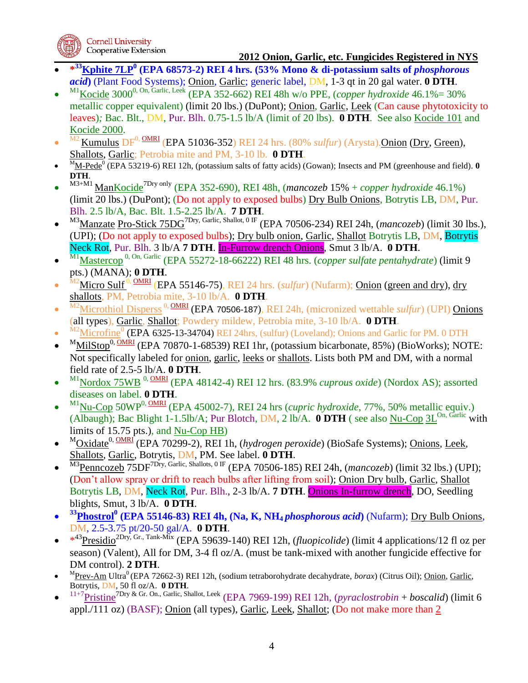

- **\* <sup>33</sup>Kphite 7LP<sup>0</sup> (EPA 68573-2) REI 4 hrs. (53% Mono & di-potassium salts of** *phosphorous acid***)** (Plant Food Systems); Onion, Garlic; generic label, DM, 1-3 qt in 20 gal water. **0 DTH**.
- $\bullet$  $M1$ Kocide 3000<sup>0, On, Garlic, Leek</sup> (EPA 352-662) REI 48h w/o PPE, (*copper hydroxide* 46.1%= 30%) metallic copper equivalent) (limit 20 lbs.) (DuPont); Onion, Garlic, Leek (Can cause phytotoxicity to leaves)*;* Bac. Blt., DM, Pur. Blh. 0.75-1.5 lb/A (limit of 20 lbs). **0 DTH**. See also Kocide 101 and Kocide 2000.
- $\bullet$ Kumulus  $DF^{0, \, \text{OMRI}}$  (EPA 51036-352) REI 24 hrs. (80% *sulfur*) (Arysta).Onion (Dry, Green), Shallots, Garlic; Petrobia mite and PM, 3-10 lb. **0 DTH**.
- $\bullet$ <sup>M</sup><sub>M-Pede</sub><sup>0</sup> (EPA 53219-6) REI 12h, (potassium salts of fatty acids) (Gowan); Insects and PM (greenhouse and field). **0 DTH**.
- $\bullet$ M3+M1 ManKocide7Dry only (EPA 352-690), REI 48h, (*mancozeb* 15% + *copper hydroxide* 46.1%) (limit 20 lbs.) (DuPont); (Do not apply to exposed bulbs) Dry Bulb Onions, Botrytis LB, DM, Pur. Blh. 2.5 lb/A, Bac. Blt. 1.5-2.25 lb/A. **7 DTH**.
- $\bullet$ M<sub>3</sub>Manzate Pro-Stick 75DG<sup>7Dry, Garlic, Shallot, 0 IF (EPA 70506-234) REI 24h, (*mancozeb*) (limit 30 lbs.),</sup> (UPI); (Do not apply to exposed bulbs); Dry bulb onion, Garlic, Shallot Botrytis LB, DM, Botrytis Neck Rot, Pur. Blh. 3 lb/A **7 DTH**. In-Furrow drench Onions, Smut 3 lb/A. **0 DTH**.
- $\bullet$ M1Mastercop 0, On, Garlic (EPA 55272-18-66222) REI 48 hrs. (*copper sulfate pentahydrate*) (limit 9 pts.) (MANA); **0 DTH**.
- $\bullet$ M2Micro Sulf 0, OMRI (EPA 55146-75), REI 24 hrs. (*sulfur*) (Nufarm); Onion (green and dry), dry shallots, PM, Petrobia mite, 3-10 lb/A. **0 DTH**.
- $\bullet$ <sup>M2</sup>Microthiol Disperss<sup>0, OMRI</sup> (EPA 70506-187), REI 24h, (micronized wettable *sulfur*) (UPI) Onions (all types), Garlic, Shallot; Powdery mildew, Petrobia mite, 3-10 lb/A. **0 DTH**.
- $\bullet$  $\frac{M2}{M1}$  Microfine<sup>0</sup> (EPA 6325-13-34704) REI 24hrs, (sulfur) (Loveland); Onions and Garlic for PM. 0 DTH
- $\bullet$  $M_{\rm {Mil Stop}}^{0, \rm {OMRI}}$  (EPA 70870-1-68539) REI 1hr, (potassium bicarbonate, 85%) (BioWorks); NOTE: Not specifically labeled for onion, garlic, leeks or shallots. Lists both PM and DM, with a normal field rate of 2.5-5 lb/A. **0 DTH**.
- $\bullet$ <sup>M1</sup>Nordox 75WB<sup>0, OMRI</sup> (EPA 48142-4) REI 12 hrs. (83.9% *cuprous oxide*) (Nordox AS); assorted diseases on label. **0 DTH**.
- $\bullet$ <sup>M1</sup>Nu-Cop 50WP<sup>0, OMRI</sup> (EPA 45002-7), REI 24 hrs (*cupric hydroxide*, 77%, 50% metallic equiv.) (Albaugh); Bac Blight 1-1.5lb/A; Pur Blotch, DM, 2 lb/A.  $\overline{0}$  DTH ( see also Nu-Cop 3L<sup>On, Garlic</sup> with limits of 15.75 pts.), and Nu-Cop HB)
- $\bullet$ <sup>M</sup>Oxidate<sup>0, OMRI</sup> (EPA 70299-2), REI 1h, (*hydrogen peroxide*) (BioSafe Systems); Onions, Leek, Shallots, Garlic, Botrytis, DM, PM. See label. **0 DTH**.
- $\bullet$ M3Penncozeb 75DF<sup>7Dry, Garlic, Shallots, 0 IF</sup> (EPA 70506-185) REI 24h, (*mancozeb*) (limit 32 lbs.) (UPI); (Don't allow spray or drift to reach bulbs after lifting from soil); Onion Dry bulb, Garlic, Shallot Botrytis LB, DM, Neck Rot, Pur. Blh., 2-3 lb/A. **7 DTH**. Onions In-furrow drench, DO, Seedling blights, Smut, 3 lb/A. **0 DTH**.
- $\bullet$ **<sup>33</sup>Phostrol 0 (EPA 55146-83) REI 4h, (Na, K, NH4** *phosphorous acid***)** (Nufarm); Dry Bulb Onions, DM, 2.5-3.75 pt/20-50 gal/A. **0 DTH**.
- $\bullet$  \*<sup>43</sup>Presidio<sup>2Dry, Gr., Tank-Mix (EPA 59639-140) REI 12h, *(fluopicolide*) (limit 4 applications/12 fl oz per</sup> season) (Valent), All for DM, 3-4 fl oz/A. (must be tank-mixed with another fungicide effective for DM control). **2 DTH**.
- $\bullet$ <sup>M</sup>Prev-Am Ultra<sup>0</sup> (EPA 72662-3) REI 12h, (sodium tetraborohydrate decahydrate, *borax*) (Citrus Oil); <u>Onion, Garlic</u>, Botrytis, DM, 50 fl oz/A. **0 DTH**.
- $\bullet$ 11+7Pristine7Dry & Gr. On., Garlic, Shallot, Leek (EPA 7969-199) REI 12h, (*pyraclostrobin* + *boscalid*) (limit 6 appl./111 oz) (BASF); Onion (all types), Garlic, Leek, Shallot; (Do not make more than 2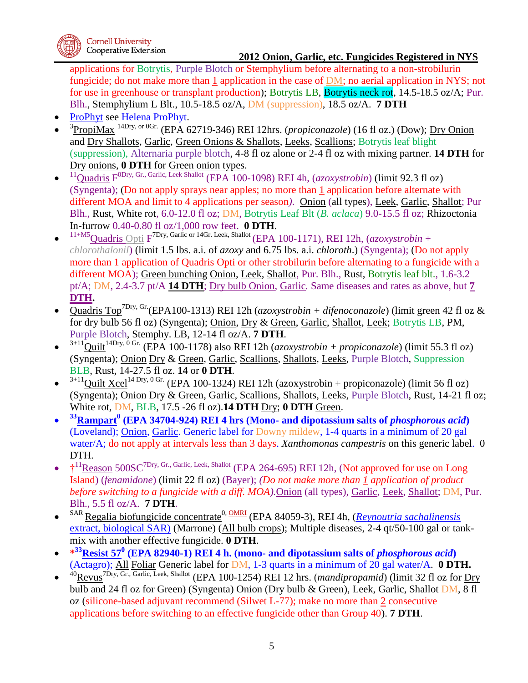applications for Botrytis, Purple Blotch or Stemphylium before alternating to a non-strobilurin fungicide; do not make more than  $1$  application in the case of  $DM$ ; no aerial application in NYS; not for use in greenhouse or transplant production); Botrytis LB, Botrytis neck rot, 14.5-18.5 oz/A; Pur. Blh., Stemphylium L Blt., 10.5-18.5 oz/A, DM (suppression), 18.5 oz/A. **7 DTH**

- ProPhyt see Helena ProPhyt.
- $\bullet$ <sup>3</sup> PropiMax<sup>14Dry, or <sup>0Gr.</sup> (EPA 62719-346) REI 12hrs. (*propiconazole*) (16 fl oz.) (Dow); <u>Dry Onion</u></sup> and Dry Shallots, Garlic, Green Onions & Shallots, Leeks, Scallions; Botrytis leaf blight (suppression), Alternaria purple blotch, 4-8 fl oz alone or 2-4 fl oz with mixing partner. **14 DTH** for Dry onions, **0 DTH** for Green onion types.
- $\bullet$ <sup>11</sup>Quadris F<sup>ODry, Gr., Garlic, Leek Shallot (EPA 100-1098) REI 4h, (*azoxystrobin*) (limit 92.3 fl oz)</sup> (Syngenta); (Do not apply sprays near apples; no more than 1 application before alternate with different MOA and limit to 4 applications per season*)*. Onion (all types), Leek, Garlic, Shallot; Pur Blh., Rust, White rot, 6.0-12.0 fl oz; DM, Botrytis Leaf Blt (*B. aclaca*) 9.0-15.5 fl oz; Rhizoctonia In-furrow 0.40-0.80 fl oz/1,000 row feet. **0 DTH**.
- $\bullet$ <sup>11+M5</sup>Quadris Opti F<sup>7Dry, Garlic or 14Gr. Leek, Shallot</sup> (EPA 100-1171), REI 12h, (*azoxystrobin* + *chlorothalonil*) (limit 1.5 lbs. a.i. of *azoxy* and 6.75 lbs. a.i. *chloroth*.) (Syngenta); (Do not apply more than 1 application of Quadris Opti or other strobilurin before alternating to a fungicide with a different MOA); Green bunching Onion, Leek, Shallot, Pur. Blh., Rust, Botrytis leaf blt., 1.6-3.2 pt/A; DM, 2.4-3.7 pt/A **14 DTH**; Dry bulb Onion, Garlic*.* Same diseases and rates as above, but **7 DTH.**
- Quadris Top7Dry, Gr.(EPA100-1313) REI 12h (*azoxystrobin + difenoconazole*) (limit green 42 fl oz & for dry bulb 56 fl oz) (Syngenta); Onion, Dry & Green, Garlic, Shallot, Leek; Botrytis LB, PM, Purple Blotch, Stemphy. LB, 12-14 fl oz/A. **7 DTH**.
- $\bullet$  $3+11$ Quilt<sup>14Dry, 0 Gr</sup> (EPA 100-1178) also REI 12h (*azoxystrobin + propiconazole*) (limit 55.3 fl oz) (Syngenta); Onion Dry & Green, Garlic, Scallions, Shallots, Leeks, Purple Blotch, Suppression BLB, Rust, 14-27.5 fl oz. **14** or **0 DTH**.
- $\bullet$  $3+11$ Quilt Xcel<sup>14 Dry, 0 Gr.</sup> (EPA 100-1324) REI 12h (azoxystrobin + propiconazole) (limit 56 fl oz) (Syngenta); Onion Dry & Green, Garlic, Scallions, Shallots, Leeks, Purple Blotch, Rust, 14-21 fl oz; White rot, DM, BLB, 17.5 -26 fl oz).**14 DTH** Dry; **0 DTH** Green.
- $\bullet$ **<sup>33</sup>Rampart<sup>0</sup> (EPA 34704-924) REI 4 hrs (Mono- and dipotassium salts of** *phosphorous acid***)**  (Loveland); Onion, Garlic. Generic label for Downy mildew, 1-4 quarts in a minimum of 20 gal water/A; do not apply at intervals less than 3 days. *Xanthomonas campestris* on this generic label. 0 DTH.
- $\bullet$ <sup>†11</sup>Reason 500SC<sup>7Dry, Gr., Garlic, Leek, Shallot (EPA 264-695) REI 12h, (Not approved for use on Long</sup> Island) (*fenamidone*) (limit 22 fl oz) (Bayer); *(Do not make more than 1 application of product before switching to a fungicide with a diff. MOA).*Onion (all types), Garlic, Leek, Shallot; DM, Pur. Blh., 5.5 fl oz/A. **7 DTH**.
- $\bullet$ <sup>SAR</sup> Regalia biofungicide concentrate<sup>0, OMRI</sup> (EPA 84059-3), REI 4h, (*[Reynoutria sachalinensis](http://pmep.cce.cornell.edu/profile.search?query=055809&minscore=90&numdocs=1)* [extract, biological SAR\)](http://pmep.cce.cornell.edu/profile.search?query=055809&minscore=90&numdocs=1) (Marrone) (All bulb crops); Multiple diseases, 2-4 qt/50-100 gal or tankmix with another effective fungicide. **0 DTH**.
- **\* <sup>33</sup>Resist 57<sup>0</sup> (EPA 82940-1) REI 4 h. (mono- and dipotassium salts of** *phosphorous acid***)**  (Actagro); All Foliar Generic label for DM, 1-3 quarts in a minimum of 20 gal water/A. **0 DTH.**
- $\bullet$ <sup>40</sup>Revus7Dry, Gr., Garlic, Leek, Shallot (EPA 100-1254) REI 12 hrs. (*mandipropamid*) (limit 32 fl oz for Dry bulb and 24 fl oz for Green) (Syngenta) Onion (Dry bulb & Green), Leek, Garlic, Shallot DM, 8 fl oz (silicone-based adjuvant recommend (Silwet L-77); make no more than 2 consecutive applications before switching to an effective fungicide other than Group 40). **7 DTH**.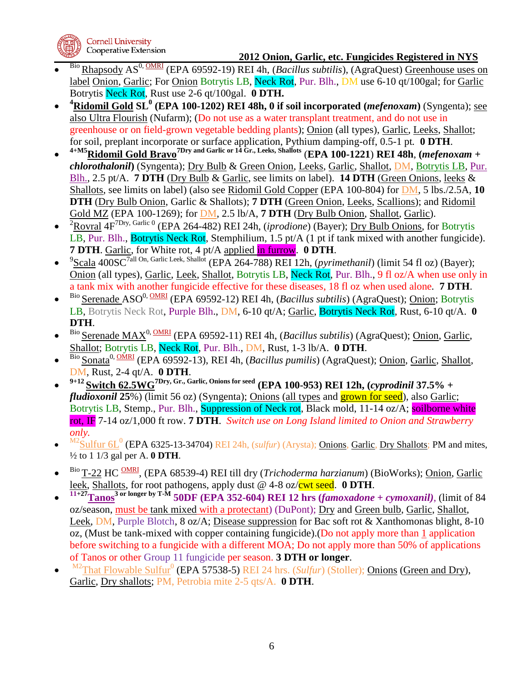

- $\bullet$ Bio Rhapsody AS0, OMRI (EPA 69592-19) REI 4h, (*Bacillus subtilis*), (AgraQuest) Greenhouse uses on label Onion, Garlic; For Onion Botrytis LB, Neck Rot, Pur. Blh., DM use 6-10 qt/100gal; for Garlic Botrytis Neck Rot, Rust use 2-6 qt/100gal. **0 DTH.**
- $\bullet$ **<sup>4</sup>Ridomil Gold SL<sup>0</sup> (EPA 100-1202) REI 48h, 0 if soil incorporated (***mefenoxam***)** (Syngenta); see also Ultra Flourish (Nufarm); (Do not use as a water transplant treatment, and do not use in greenhouse or on field-grown vegetable bedding plants); Onion (all types), Garlic, Leeks, Shallot; for soil, preplant incorporate or surface application, Pythium damping-off, 0.5-1 pt*.* **0 DTH**.
- $\bullet$ **4+M5Ridomil Gold Bravo7Dry and Garlic or 14 Gr., Leeks, Shallots** (**EPA 100-1221**) **REI 48h**, **(***mefenoxam* **+**  *chlorothalonil***)** (Syngenta); Dry Bulb & Green Onion, Leeks, Garlic, Shallot, DM, Botrytis LB, Pur. Blh., 2.5 pt/A. **7 DTH** (Dry Bulb & Garlic, see limits on label). **14 DTH** (Green Onions, leeks & Shallots, see limits on label) (also see Ridomil Gold Copper (EPA 100-804) for DM, 5 lbs./2.5A, **10 DTH** (Dry Bulb Onion, Garlic & Shallots); **7 DTH** (Green Onion, Leeks, Scallions); and Ridomil Gold MZ (EPA 100-1269); for DM, 2.5 lb/A, **7 DTH** (Dry Bulb Onion, Shallot, Garlic).
- $\bullet$ <sup>2</sup>Rovral 4F<sup>7Dry, Garlic <sup>0</sup> (EPA 264-482) REI 24h, (*iprodione*) (Bayer); <u>Dry Bulb Onions</u>, for Botrytis</sup> LB, Pur. Blh., Botrytis Neck Rot, Stemphilium, 1.5 pt/A (1 pt if tank mixed with another fungicide). **7 DTH**. Garlic, for White rot, 4 pt/A applied in furrow. **0 DTH**.
- $\bullet$ <sup>9</sup>Scala 400SC<sup>7all On, Garlic Leek, Shallot</sup> (EPA 264-788) REI 12h, (*pyrimethanil*) (limit 54 fl oz) (Bayer); Onion (all types), Garlic, Leek, Shallot, Botrytis LB, Neck Rot, Pur. Blh., 9 fl oz/A when use only in a tank mix with another fungicide effective for these diseases, 18 fl oz when used alone*.* **7 DTH**.
- $\bullet$ Bio Serenade ASO0, OMRI (EPA 69592-12) REI 4h, (*Bacillus subtilis*) (AgraQuest); Onion; Botrytis LB, Botrytis Neck Rot, Purple Blh., DM, 6-10 qt/A; Garlic, Botrytis Neck Rot, Rust, 6-10 qt/A. **0 DTH**.
- $\bullet$ Bio Serenade MAX0, OMRI (EPA 69592-11) REI 4h, (*Bacillus subtilis*) (AgraQuest); Onion, Garlic, Shallot; Botrytis LB, Neck Rot, Pur. Blh., DM, Rust, 1-3 lb/A. **0 DTH**.
- $\bullet$ Bio Sonata0, OMRI (EPA 69592-13), REI 4h, (*Bacillus pumilis*) (AgraQuest); Onion, Garlic, Shallot, DM, Rust, 2-4 qt/A. **0 DTH**.
- $\bullet$ **9+12 Switch 62.5WG7Dry, Gr., Garlic, Onions for seed (EPA 100-953) REI 12h, (***cyprodinil* **37.5% +**  *fludioxonil* 25%) (limit 56 oz) (Syngenta); **Onions** (all types and **grown for seed**), also Garlic; Botrytis LB, Stemp., Pur. Blh., Suppression of Neck rot, Black mold, 11-14 oz/A; soilborne white rot, IF 7-14 oz/1,000 ft row. **7 DTH**. *Switch use on Long Island limited to Onion and Strawberry only.*
- $\bullet$ <sup>M2</sup>Sulfur 6L<sup>0</sup> (EPA 6325-13-34704) REI 24h, *(sulfur)* (Arysta); Onions, Garlic, Dry Shallots; PM and mites, ½ to 1 1/3 gal per A. **0 DTH**.
- $\bullet$ <sup>Bio</sup> T-22 HC <sup>OMRI</sup>, (EPA 68539-4) REI till dry (*Trichoderma harzianum*) (BioWorks); <u>Onion, Garlic</u> leek, Shallots, for root pathogens, apply dust @ 4-8 oz/cwt seed. **0 DTH**.
- $\bullet$  $\frac{11+27}{11+27}$ **Tanos**<sup>3</sup> or longer by T-M<sub></sub> 50DF (EPA 352-604) REI 12 hrs (*famoxadone* + *cymoxanil*), (limit of 84 oz/season, must be tank mixed with a protectant) (DuPont); Dry and Green bulb, Garlic, Shallot, Leek, DM, Purple Blotch, 8 oz/A; Disease suppression for Bac soft rot & Xanthomonas blight, 8-10 oz, (Must be tank-mixed with copper containing fungicide).(Do not apply more than 1 application before switching to a fungicide with a different MOA; Do not apply more than 50% of applications of Tanos or other Group 11 fungicide per season. **3 DTH or longer**.
- $\bullet$ <sup>M2</sup>That Flowable Sulfur<sup>0</sup> (EPA 57538-5) REI 24 hrs. (*Sulfur*) (Stoller); **Onions (Green and Dry)**, Garlic, Dry shallots; PM, Petrobia mite 2-5 qts/A. **0 DTH**.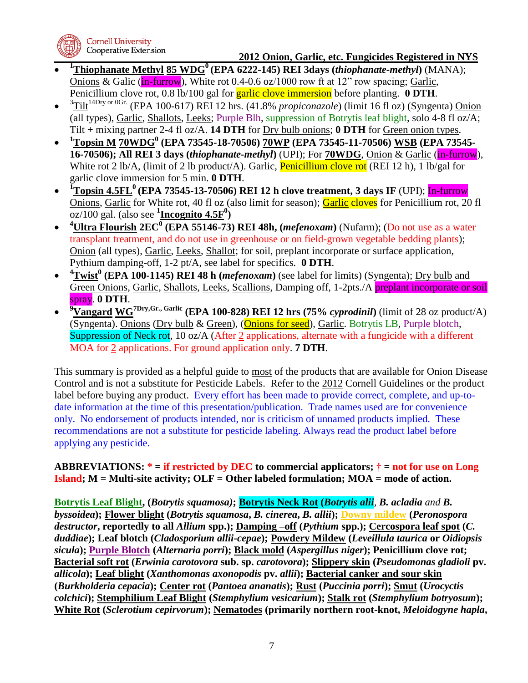

**Cornell University** Cooperative Extension

 **2012 Onion, Garlic, etc. Fungicides Registered in NYS**

- $\bullet$ **<sup>1</sup>Thiophanate Methyl 85 WDG<sup>0</sup> (EPA 6222-145) REI 3days (***thiophanate-methyl***)** (MANA); Onions & Galic (in-furrow), White rot 0.4-0.6 oz/1000 row ft at  $12$ " row spacing; Garlic, Penicillium clove rot, 0.8 lb/100 gal for garlic clove immersion before planting. **0 DTH**.
- $\bullet$  <sup>3</sup>Tilt<sup>14Dry or 0Gr.</sup> (EPA 100-617) REI 12 hrs. (41.8% *propiconazole*) (limit 16 fl oz) (Syngenta) Onion (all types), Garlic, Shallots, Leeks; Purple Blh, suppression of Botrytis leaf blight, solo 4-8 fl oz/A; Tilt + mixing partner 2-4 fl oz/A. **14 DTH** for Dry bulb onions; **0 DTH** for Green onion types.
- **<sup>1</sup>Topsin M 70WDG<sup>0</sup> (EPA 73545-18-70506) 70WP (EPA 73545-11-70506) WSB (EPA 73545- 16-70506); All REI 3 days (***thiophanate-methyl***)** (UPI); For **70WDG**, Onion & Garlic (in-furrow), White rot 2 lb/A, (limit of 2 lb product/A). Garlic, **Penicillium clove rot** (REI 12 h), 1 lb/gal for garlic clove immersion for 5 min. **0 DTH**.
- $\bullet$ **<sup>1</sup>Topsin 4.5FL<sup>0</sup>(EPA 73545-13-70506) REI 12 h clove treatment, 3 days IF** (UPI); In-furrow Onions, Garlic for White rot, 40 fl oz (also limit for season); Garlic cloves for Penicillium rot, 20 fl oz/100 gal. (also see **<sup>1</sup> Incognito 4.5F<sup>0</sup> )**
- $\bullet$ **<sup>4</sup>Ultra Flourish 2EC<sup>0</sup> (EPA 55146-73) REI 48h, (***mefenoxam***)** (Nufarm); (Do not use as a water transplant treatment, and do not use in greenhouse or on field-grown vegetable bedding plants); Onion (all types), Garlic, Leeks, Shallot; for soil, preplant incorporate or surface application, Pythium damping-off, 1-2 pt/A, see label for specifics*.* **0 DTH**.
- $\bullet$ **<sup>4</sup>Twist<sup>0</sup> (EPA 100-1145) REI 48 h (***mefenoxam***)** (see label for limits) (Syngenta); Dry bulb and Green Onions, Garlic, Shallots, Leeks, Scallions, Damping off, 1-2pts./A preplant incorporate or soil spray. **0 DTH**.
- $\bullet$ **<sup>9</sup>Vangard WG7Dry,Gr., Garlic (EPA 100-828) REI 12 hrs (75%** *cyprodinil***)** (limit of 28 oz product/A) (Syngenta). Onions (Dry bulb & Green), (Onions for seed), Garlic. Botrytis LB, Purple blotch, Suppression of Neck rot, 10 oz/A (After 2 applications, alternate with a fungicide with a different MOA for 2 applications. For ground application only. **7 DTH**.

This summary is provided as a helpful guide to most of the products that are available for Onion Disease Control and is not a substitute for Pesticide Labels. Refer to the 2012 Cornell Guidelines or the product label before buying any product. Every effort has been made to provide correct, complete, and up-todate information at the time of this presentation/publication. Trade names used are for convenience only. No endorsement of products intended, nor is criticism of unnamed products implied. These recommendations are not a substitute for pesticide labeling. Always read the product label before applying any pesticide.

## **ABBREVIATIONS: \* = if restricted by DEC to commercial applicators; † = not for use on Long Island; M = Multi-site activity; OLF = Other labeled formulation; MOA = mode of action.**

**Botrytis Leaf Blight, (***Botrytis squamosa)***; Botrytis Neck Rot (***Botrytis alii, B. acladia and B. byssoidea***); Flower blight (***Botrytis squamosa***,** *B. cinerea***,** *B. allii***); Downy mildew (***Peronospora destructor***, reportedly to all** *Allium* **spp.); Damping –off (***Pythium* **spp.); Cercospora leaf spot (***C. duddiae***); Leaf blotch (***Cladosporium allii-cepae***); Powdery Mildew (***Leveillula taurica* **or** *Oidiopsis sicula***); Purple Blotch (***Alternaria porri***); Black mold (***Aspergillus niger***); Penicillium clove rot; Bacterial soft rot (***Erwinia carotovora* **sub. sp.** *carotovora***); Slippery skin (***Pseudomonas gladioli* **pv.**  *allicola***); Leaf blight (***Xanthomonas axonopodis* **pv.** *allii***); Bacterial canker and sour skin (***Burkholderia cepacia***); Center rot (***Pantoea ananatis***); Rust (***Puccinia porri***); Smut (***Urocyctis colchici***); Stemphilium Leaf Blight (***Stemphylium vesicarium***); Stalk rot (***Stemphylium botryosum***); White Rot (***Sclerotium cepirvorum***); Nematodes (primarily northern root-knot,** *Meloidogyne hapla***,**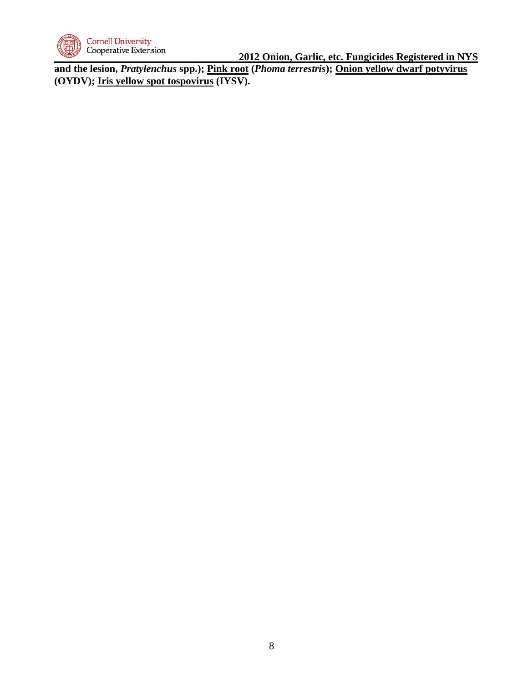

**and the lesion,** *Pratylenchus* **spp.); Pink root (***Phoma terrestris***); Onion yellow dwarf potyvirus (OYDV); Iris yellow spot tospovirus (IYSV).**